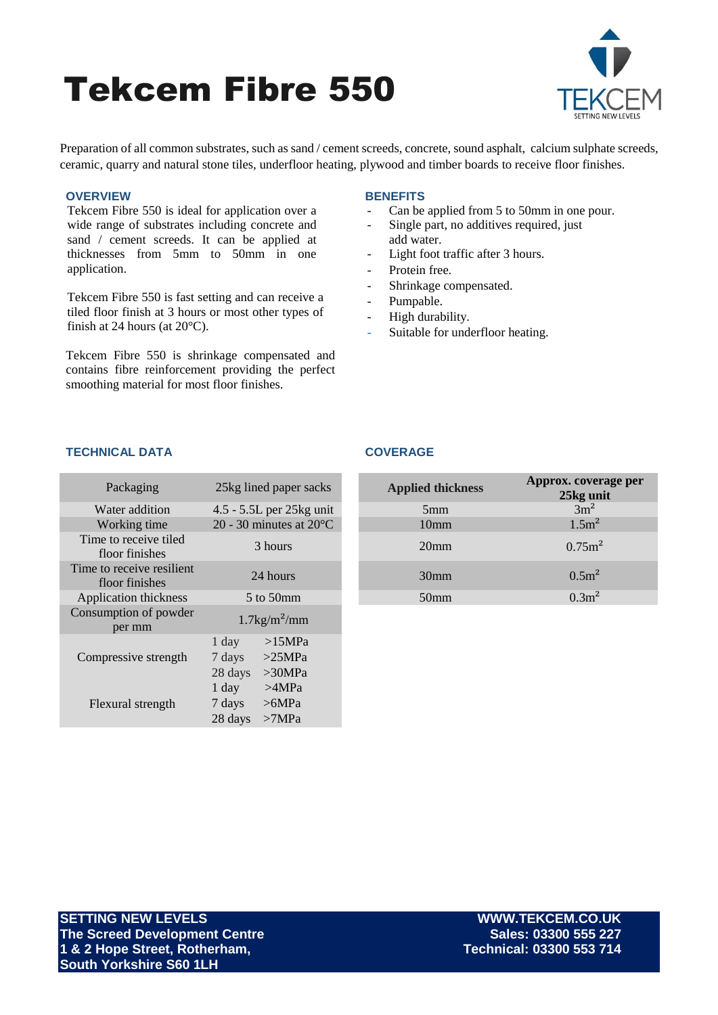# Tekcem Fibre 550



Preparation of all common substrates, such as sand / cement screeds, concrete, sound asphalt, calcium sulphate screeds, ceramic, quarry and natural stone tiles, underfloor heating, plywood and timber boards to receive floor finishes.

# **OVERVIEW**

Tekcem Fibre 550 is ideal for application over a wide range of substrates including concrete and sand / cement screeds. It can be applied at thicknesses from 5mm to 50mm in one application.

Tekcem Fibre 550 is fast setting and can receive a tiled floor finish at 3 hours or most other types of finish at 24 hours (at 20°C).

Tekcem Fibre 550 is shrinkage compensated and contains fibre reinforcement providing the perfect smoothing material for most floor finishes.

# **BENEFITS**

- Can be applied from 5 to 50mm in one pour.
- Single part, no additives required, just add water.
- Light foot traffic after 3 hours.
- Protein free.
- Shrinkage compensated.
- Pumpable.
- High durability.
- Suitable for underfloor heating.

# **TECHNICAL DATA COVERAGE**

| Packaging                                   |                              | 25kg lined paper sacks            | <b>Applied thickness</b> | Approx. cover<br>25kg ur |
|---------------------------------------------|------------------------------|-----------------------------------|--------------------------|--------------------------|
| Water addition                              |                              | 4.5 - 5.5L per 25kg unit          | 5 <sub>mm</sub>          | $3m^2$                   |
| Working time                                |                              | 20 - 30 minutes at $20^{\circ}$ C | 10 <sub>mm</sub>         | 1.5m <sup>2</sup>        |
| Time to receive tiled<br>floor finishes     | 3 hours                      |                                   | 20 <sub>mm</sub>         | 0.75 <sub>m</sub>        |
| Time to receive resilient<br>floor finishes | 24 hours                     |                                   | 30 <sub>mm</sub>         | 0.5m <sup>2</sup>        |
| Application thickness                       | 5 to 50mm                    |                                   | 50 <sub>mm</sub>         | 0.3m <sup>2</sup>        |
| Consumption of powder<br>per mm             | $1.7\mathrm{kg/m^2/mm}$      |                                   |                          |                          |
| Compressive strength                        | $1$ day<br>7 days<br>28 days | >15MPa<br>>25MPa<br>>30MPa        |                          |                          |
| Flexural strength                           | 1 day<br>7 days<br>28 days   | >4MPa<br>>6MPa<br>>7MPa           |                          |                          |

| Packaging                              | 25kg lined paper sacks            | <b>Applied thickness</b> | Approx. coverage per<br>25kg unit |
|----------------------------------------|-----------------------------------|--------------------------|-----------------------------------|
| <i>Nater addition</i>                  | 4.5 - 5.5L per 25kg unit          | 5mm                      | $3m^2$                            |
| Working time                           | 20 - 30 minutes at $20^{\circ}$ C | 10 <sub>mm</sub>         | 1.5m <sup>2</sup>                 |
| ne to receive tiled<br>floor finishes  | 3 hours                           | 20 <sub>mm</sub>         | $0.75m^2$                         |
| to receive resilient<br>floor finishes | 24 hours                          | 30 <sub>mm</sub>         | 0.5m <sup>2</sup>                 |
| lication thickness                     | $5$ to $50$ mm                    | 50 <sub>mm</sub>         | 0.3m <sup>2</sup>                 |

**SETTING NEW LEVELS WWW.TEKCEM.CO.UK The Screed Development Centre Sales: 03300 555 227 1 & 2 Hope Street, Rotherham, South Yorkshire S60 1LH**